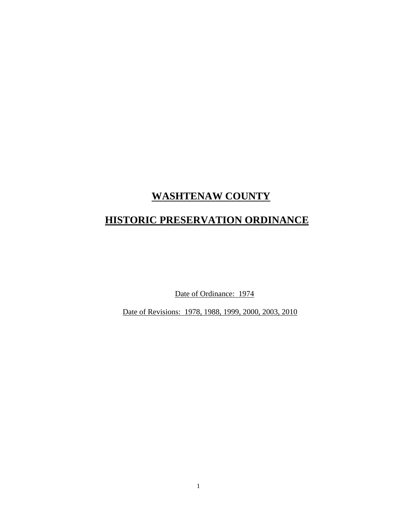## **WASHTENAW COUNTY**

# **HISTORIC PRESERVATION ORDINANCE**

Date of Ordinance: 1974

Date of Revisions: 1978, 1988, 1999, 2000, 2003, 2010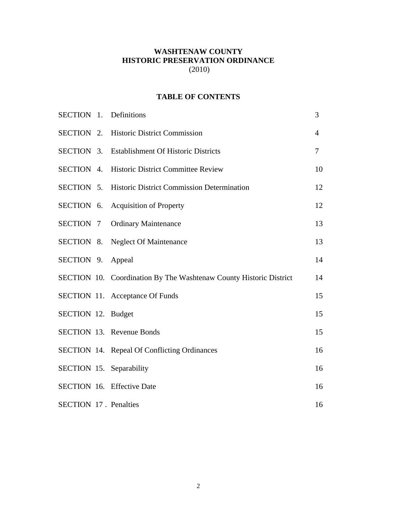## **WASHTENAW COUNTY HISTORIC PRESERVATION ORDINANCE**  (2010)

## **TABLE OF CONTENTS**

|                              | SECTION 1. Definitions                                             | 3              |
|------------------------------|--------------------------------------------------------------------|----------------|
|                              | SECTION 2. Historic District Commission                            | $\overline{4}$ |
|                              | SECTION 3. Establishment Of Historic Districts                     | $\overline{7}$ |
|                              | SECTION 4. Historic District Committee Review                      | 10             |
|                              | <b>SECTION 5. Historic District Commission Determination</b>       | 12             |
|                              | SECTION 6. Acquisition of Property                                 | 12             |
|                              | <b>SECTION 7 Ordinary Maintenance</b>                              | 13             |
|                              | SECTION 8. Neglect Of Maintenance                                  | 13             |
| SECTION 9. Appeal            |                                                                    | 14             |
|                              | SECTION 10. Coordination By The Washtenaw County Historic District | 14             |
|                              | SECTION 11. Acceptance Of Funds                                    | 15             |
| SECTION 12. Budget           |                                                                    | 15             |
|                              | <b>SECTION 13. Revenue Bonds</b>                                   | 15             |
|                              | SECTION 14. Repeal Of Conflicting Ordinances                       | 16             |
|                              | SECTION 15. Separability                                           | 16             |
|                              | <b>SECTION 16. Effective Date</b>                                  | 16             |
| <b>SECTION 17. Penalties</b> |                                                                    | 16             |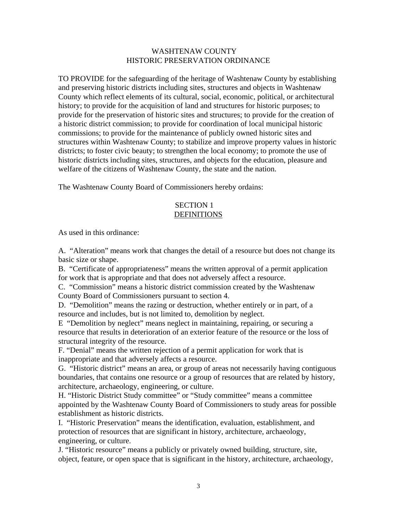#### WASHTENAW COUNTY HISTORIC PRESERVATION ORDINANCE

TO PROVIDE for the safeguarding of the heritage of Washtenaw County by establishing and preserving historic districts including sites, structures and objects in Washtenaw County which reflect elements of its cultural, social, economic, political, or architectural history; to provide for the acquisition of land and structures for historic purposes; to provide for the preservation of historic sites and structures; to provide for the creation of a historic district commission; to provide for coordination of local municipal historic commissions; to provide for the maintenance of publicly owned historic sites and structures within Washtenaw County; to stabilize and improve property values in historic districts; to foster civic beauty; to strengthen the local economy; to promote the use of historic districts including sites, structures, and objects for the education, pleasure and welfare of the citizens of Washtenaw County, the state and the nation.

The Washtenaw County Board of Commissioners hereby ordains:

#### SECTION 1 **DEFINITIONS**

As used in this ordinance:

A. "Alteration" means work that changes the detail of a resource but does not change its basic size or shape.

B. "Certificate of appropriateness" means the written approval of a permit application for work that is appropriate and that does not adversely affect a resource.

C. "Commission" means a historic district commission created by the Washtenaw County Board of Commissioners pursuant to section 4.

D. "Demolition" means the razing or destruction, whether entirely or in part, of a resource and includes, but is not limited to, demolition by neglect.

E "Demolition by neglect" means neglect in maintaining, repairing, or securing a resource that results in deterioration of an exterior feature of the resource or the loss of structural integrity of the resource.

F. "Denial" means the written rejection of a permit application for work that is inappropriate and that adversely affects a resource.

G. "Historic district" means an area, or group of areas not necessarily having contiguous boundaries, that contains one resource or a group of resources that are related by history, architecture, archaeology, engineering, or culture.

H. "Historic District Study committee" or "Study committee" means a committee appointed by the Washtenaw County Board of Commissioners to study areas for possible establishment as historic districts.

I. "Historic Preservation" means the identification, evaluation, establishment, and protection of resources that are significant in history, architecture, archaeology, engineering, or culture.

J. "Historic resource" means a publicly or privately owned building, structure, site, object, feature, or open space that is significant in the history, architecture, archaeology,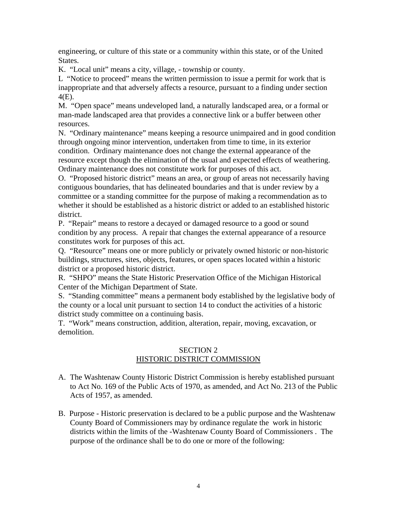engineering, or culture of this state or a community within this state, or of the United States.

K. "Local unit" means a city, village, - township or county.

L "Notice to proceed" means the written permission to issue a permit for work that is inappropriate and that adversely affects a resource, pursuant to a finding under section 4(E).

M. "Open space" means undeveloped land, a naturally landscaped area, or a formal or man-made landscaped area that provides a connective link or a buffer between other resources.

N. "Ordinary maintenance" means keeping a resource unimpaired and in good condition through ongoing minor intervention, undertaken from time to time, in its exterior condition. Ordinary maintenance does not change the external appearance of the resource except though the elimination of the usual and expected effects of weathering. Ordinary maintenance does not constitute work for purposes of this act.

O. "Proposed historic district" means an area, or group of areas not necessarily having contiguous boundaries, that has delineated boundaries and that is under review by a committee or a standing committee for the purpose of making a recommendation as to whether it should be established as a historic district or added to an established historic district.

P. "Repair" means to restore a decayed or damaged resource to a good or sound condition by any process. A repair that changes the external appearance of a resource constitutes work for purposes of this act.

Q. "Resource" means one or more publicly or privately owned historic or non-historic buildings, structures, sites, objects, features, or open spaces located within a historic district or a proposed historic district.

R. "SHPO" means the State Historic Preservation Office of the Michigan Historical Center of the Michigan Department of State.

S. "Standing committee" means a permanent body established by the legislative body of the county or a local unit pursuant to section 14 to conduct the activities of a historic district study committee on a continuing basis.

T. "Work" means construction, addition, alteration, repair, moving, excavation, or demolition.

## SECTION 2 HISTORIC DISTRICT COMMISSION

- A. The Washtenaw County Historic District Commission is hereby established pursuant to Act No. 169 of the Public Acts of 1970, as amended, and Act No. 213 of the Public Acts of 1957, as amended.
- B. Purpose Historic preservation is declared to be a public purpose and the Washtenaw County Board of Commissioners may by ordinance regulate the work in historic districts within the limits of the -Washtenaw County Board of Commissioners . The purpose of the ordinance shall be to do one or more of the following: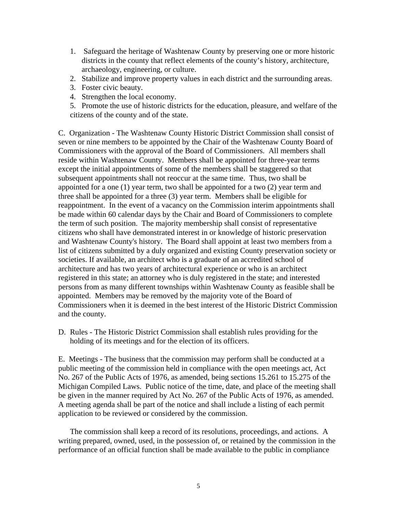- 1. Safeguard the heritage of Washtenaw County by preserving one or more historic districts in the county that reflect elements of the county's history, architecture, archaeology, engineering, or culture.
- 2. Stabilize and improve property values in each district and the surrounding areas.
- 3. Foster civic beauty.
- 4. Strengthen the local economy.

5. Promote the use of historic districts for the education, pleasure, and welfare of the citizens of the county and of the state.

C. Organization - The Washtenaw County Historic District Commission shall consist of seven or nine members to be appointed by the Chair of the Washtenaw County Board of Commissioners with the approval of the Board of Commissioners. All members shall reside within Washtenaw County. Members shall be appointed for three-year terms except the initial appointments of some of the members shall be staggered so that subsequent appointments shall not reoccur at the same time. Thus, two shall be appointed for a one (1) year term, two shall be appointed for a two (2) year term and three shall be appointed for a three (3) year term. Members shall be eligible for reappointment. In the event of a vacancy on the Commission interim appointments shall be made within 60 calendar days by the Chair and Board of Commissioners to complete the term of such position. The majority membership shall consist of representative citizens who shall have demonstrated interest in or knowledge of historic preservation and Washtenaw County's history. The Board shall appoint at least two members from a list of citizens submitted by a duly organized and existing County preservation society or societies. If available, an architect who is a graduate of an accredited school of architecture and has two years of architectural experience or who is an architect registered in this state; an attorney who is duly registered in the state; and interested persons from as many different townships within Washtenaw County as feasible shall be appointed. Members may be removed by the majority vote of the Board of Commissioners when it is deemed in the best interest of the Historic District Commission and the county.

D. Rules - The Historic District Commission shall establish rules providing for the holding of its meetings and for the election of its officers.

E. Meetings - The business that the commission may perform shall be conducted at a public meeting of the commission held in compliance with the open meetings act, Act No. 267 of the Public Acts of 1976, as amended, being sections 15.261 to 15.275 of the Michigan Compiled Laws. Public notice of the time, date, and place of the meeting shall be given in the manner required by Act No. 267 of the Public Acts of 1976, as amended. A meeting agenda shall be part of the notice and shall include a listing of each permit application to be reviewed or considered by the commission.

The commission shall keep a record of its resolutions, proceedings, and actions. A writing prepared, owned, used, in the possession of, or retained by the commission in the performance of an official function shall be made available to the public in compliance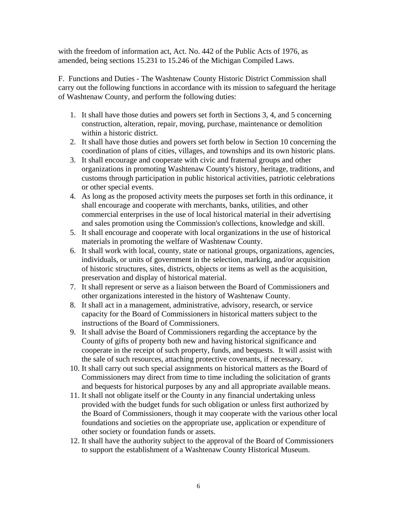with the freedom of information act, Act. No. 442 of the Public Acts of 1976, as amended, being sections 15.231 to 15.246 of the Michigan Compiled Laws.

F. Functions and Duties - The Washtenaw County Historic District Commission shall carry out the following functions in accordance with its mission to safeguard the heritage of Washtenaw County, and perform the following duties:

- 1. It shall have those duties and powers set forth in Sections 3, 4, and 5 concerning construction, alteration, repair, moving, purchase, maintenance or demolition within a historic district.
- 2. It shall have those duties and powers set forth below in Section 10 concerning the coordination of plans of cities, villages, and townships and its own historic plans.
- 3. It shall encourage and cooperate with civic and fraternal groups and other organizations in promoting Washtenaw County's history, heritage, traditions, and customs through participation in public historical activities, patriotic celebrations or other special events.
- 4. As long as the proposed activity meets the purposes set forth in this ordinance, it shall encourage and cooperate with merchants, banks, utilities, and other commercial enterprises in the use of local historical material in their advertising and sales promotion using the Commission's collections, knowledge and skill.
- 5. It shall encourage and cooperate with local organizations in the use of historical materials in promoting the welfare of Washtenaw County.
- 6. It shall work with local, county, state or national groups, organizations, agencies, individuals, or units of government in the selection, marking, and/or acquisition of historic structures, sites, districts, objects or items as well as the acquisition, preservation and display of historical material.
- 7. It shall represent or serve as a liaison between the Board of Commissioners and other organizations interested in the history of Washtenaw County.
- 8. It shall act in a management, administrative, advisory, research, or service capacity for the Board of Commissioners in historical matters subject to the instructions of the Board of Commissioners.
- 9. It shall advise the Board of Commissioners regarding the acceptance by the County of gifts of property both new and having historical significance and cooperate in the receipt of such property, funds, and bequests. It will assist with the sale of such resources, attaching protective covenants, if necessary.
- 10. It shall carry out such special assignments on historical matters as the Board of Commissioners may direct from time to time including the solicitation of grants and bequests for historical purposes by any and all appropriate available means.
- 11. It shall not obligate itself or the County in any financial undertaking unless provided with the budget funds for such obligation or unless first authorized by the Board of Commissioners, though it may cooperate with the various other local foundations and societies on the appropriate use, application or expenditure of other society or foundation funds or assets.
- 12. It shall have the authority subject to the approval of the Board of Commissioners to support the establishment of a Washtenaw County Historical Museum.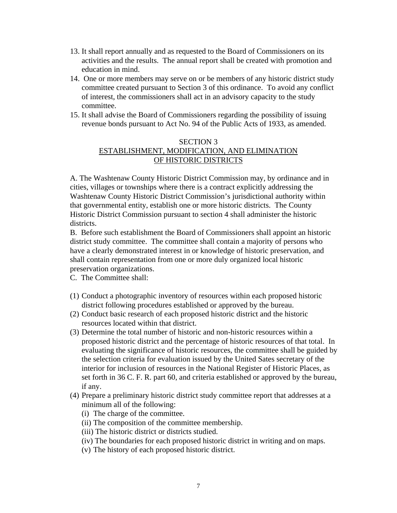- 13. It shall report annually and as requested to the Board of Commissioners on its activities and the results. The annual report shall be created with promotion and education in mind.
- 14. One or more members may serve on or be members of any historic district study committee created pursuant to Section 3 of this ordinance. To avoid any conflict of interest, the commissioners shall act in an advisory capacity to the study committee.
- 15. It shall advise the Board of Commissioners regarding the possibility of issuing revenue bonds pursuant to Act No. 94 of the Public Acts of 1933, as amended.

## SECTION 3 ESTABLISHMENT, MODIFICATION, AND ELIMINATION OF HISTORIC DISTRICTS

A. The Washtenaw County Historic District Commission may, by ordinance and in cities, villages or townships where there is a contract explicitly addressing the Washtenaw County Historic District Commission's jurisdictional authority within that governmental entity, establish one or more historic districts. The County Historic District Commission pursuant to section 4 shall administer the historic districts.

B. Before such establishment the Board of Commissioners shall appoint an historic district study committee. The committee shall contain a majority of persons who have a clearly demonstrated interest in or knowledge of historic preservation, and shall contain representation from one or more duly organized local historic preservation organizations.

C. The Committee shall:

- (1) Conduct a photographic inventory of resources within each proposed historic district following procedures established or approved by the bureau.
- (2) Conduct basic research of each proposed historic district and the historic resources located within that district.
- (3) Determine the total number of historic and non-historic resources within a proposed historic district and the percentage of historic resources of that total. In evaluating the significance of historic resources, the committee shall be guided by the selection criteria for evaluation issued by the United Sates secretary of the interior for inclusion of resources in the National Register of Historic Places, as set forth in 36 C. F. R. part 60, and criteria established or approved by the bureau, if any.
- (4) Prepare a preliminary historic district study committee report that addresses at a minimum all of the following:
	- (i) The charge of the committee.
	- (ii) The composition of the committee membership.
	- (iii) The historic district or districts studied.
	- (iv) The boundaries for each proposed historic district in writing and on maps.
	- (v) The history of each proposed historic district.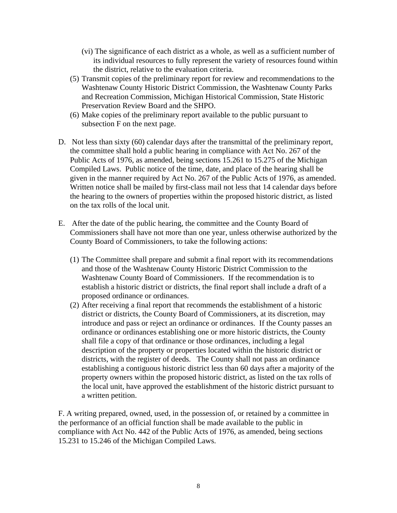- (vi) The significance of each district as a whole, as well as a sufficient number of its individual resources to fully represent the variety of resources found within the district, relative to the evaluation criteria.
- (5) Transmit copies of the preliminary report for review and recommendations to the Washtenaw County Historic District Commission, the Washtenaw County Parks and Recreation Commission, Michigan Historical Commission, State Historic Preservation Review Board and the SHPO.
- (6) Make copies of the preliminary report available to the public pursuant to subsection F on the next page.
- D. Not less than sixty (60) calendar days after the transmittal of the preliminary report, the committee shall hold a public hearing in compliance with Act No. 267 of the Public Acts of 1976, as amended, being sections 15.261 to 15.275 of the Michigan Compiled Laws. Public notice of the time, date, and place of the hearing shall be given in the manner required by Act No. 267 of the Public Acts of 1976, as amended. Written notice shall be mailed by first-class mail not less that 14 calendar days before the hearing to the owners of properties within the proposed historic district, as listed on the tax rolls of the local unit.
- E. After the date of the public hearing, the committee and the County Board of Commissioners shall have not more than one year, unless otherwise authorized by the County Board of Commissioners, to take the following actions:
	- (1) The Committee shall prepare and submit a final report with its recommendations and those of the Washtenaw County Historic District Commission to the Washtenaw County Board of Commissioners. If the recommendation is to establish a historic district or districts, the final report shall include a draft of a proposed ordinance or ordinances.
	- (2) After receiving a final report that recommends the establishment of a historic district or districts, the County Board of Commissioners, at its discretion, may introduce and pass or reject an ordinance or ordinances. If the County passes an ordinance or ordinances establishing one or more historic districts, the County shall file a copy of that ordinance or those ordinances, including a legal description of the property or properties located within the historic district or districts, with the register of deeds. The County shall not pass an ordinance establishing a contiguous historic district less than 60 days after a majority of the property owners within the proposed historic district, as listed on the tax rolls of the local unit, have approved the establishment of the historic district pursuant to a written petition.

F. A writing prepared, owned, used, in the possession of, or retained by a committee in the performance of an official function shall be made available to the public in compliance with Act No. 442 of the Public Acts of 1976, as amended, being sections 15.231 to 15.246 of the Michigan Compiled Laws.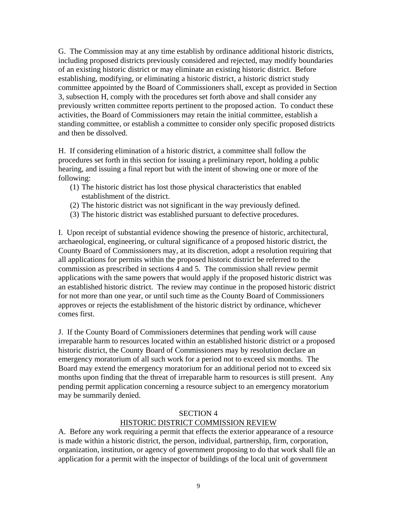G. The Commission may at any time establish by ordinance additional historic districts, including proposed districts previously considered and rejected, may modify boundaries of an existing historic district or may eliminate an existing historic district. Before establishing, modifying, or eliminating a historic district, a historic district study committee appointed by the Board of Commissioners shall, except as provided in Section 3, subsection H, comply with the procedures set forth above and shall consider any previously written committee reports pertinent to the proposed action. To conduct these activities, the Board of Commissioners may retain the initial committee, establish a standing committee, or establish a committee to consider only specific proposed districts and then be dissolved.

H. If considering elimination of a historic district, a committee shall follow the procedures set forth in this section for issuing a preliminary report, holding a public hearing, and issuing a final report but with the intent of showing one or more of the following:

- (1) The historic district has lost those physical characteristics that enabled establishment of the district.
- (2) The historic district was not significant in the way previously defined.
- (3) The historic district was established pursuant to defective procedures.

I. Upon receipt of substantial evidence showing the presence of historic, architectural, archaeological, engineering, or cultural significance of a proposed historic district, the County Board of Commissioners may, at its discretion, adopt a resolution requiring that all applications for permits within the proposed historic district be referred to the commission as prescribed in sections 4 and 5. The commission shall review permit applications with the same powers that would apply if the proposed historic district was an established historic district. The review may continue in the proposed historic district for not more than one year, or until such time as the County Board of Commissioners approves or rejects the establishment of the historic district by ordinance, whichever comes first.

J. If the County Board of Commissioners determines that pending work will cause irreparable harm to resources located within an established historic district or a proposed historic district, the County Board of Commissioners may by resolution declare an emergency moratorium of all such work for a period not to exceed six months. The Board may extend the emergency moratorium for an additional period not to exceed six months upon finding that the threat of irreparable harm to resources is still present. Any pending permit application concerning a resource subject to an emergency moratorium may be summarily denied.

#### SECTION 4

#### HISTORIC DISTRICT COMMISSION REVIEW

A. Before any work requiring a permit that effects the exterior appearance of a resource is made within a historic district, the person, individual, partnership, firm, corporation, organization, institution, or agency of government proposing to do that work shall file an application for a permit with the inspector of buildings of the local unit of government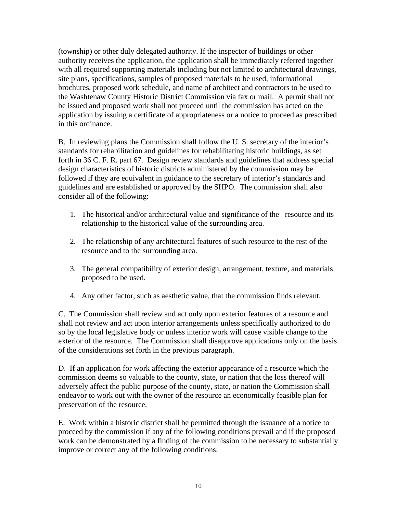(township) or other duly delegated authority. If the inspector of buildings or other authority receives the application, the application shall be immediately referred together with all required supporting materials including but not limited to architectural drawings, site plans, specifications, samples of proposed materials to be used, informational brochures, proposed work schedule, and name of architect and contractors to be used to the Washtenaw County Historic District Commission via fax or mail. A permit shall not be issued and proposed work shall not proceed until the commission has acted on the application by issuing a certificate of appropriateness or a notice to proceed as prescribed in this ordinance.

B. In reviewing plans the Commission shall follow the U. S. secretary of the interior's standards for rehabilitation and guidelines for rehabilitating historic buildings, as set forth in 36 C. F. R. part 67. Design review standards and guidelines that address special design characteristics of historic districts administered by the commission may be followed if they are equivalent in guidance to the secretary of interior's standards and guidelines and are established or approved by the SHPO. The commission shall also consider all of the following:

- 1. The historical and/or architectural value and significance of the resource and its relationship to the historical value of the surrounding area.
- 2. The relationship of any architectural features of such resource to the rest of the resource and to the surrounding area.
- 3. The general compatibility of exterior design, arrangement, texture, and materials proposed to be used.
- 4. Any other factor, such as aesthetic value, that the commission finds relevant.

C. The Commission shall review and act only upon exterior features of a resource and shall not review and act upon interior arrangements unless specifically authorized to do so by the local legislative body or unless interior work will cause visible change to the exterior of the resource. The Commission shall disapprove applications only on the basis of the considerations set forth in the previous paragraph.

D. If an application for work affecting the exterior appearance of a resource which the commission deems so valuable to the county, state, or nation that the loss thereof will adversely affect the public purpose of the county, state, or nation the Commission shall endeavor to work out with the owner of the resource an economically feasible plan for preservation of the resource.

E. Work within a historic district shall be permitted through the issuance of a notice to proceed by the commission if any of the following conditions prevail and if the proposed work can be demonstrated by a finding of the commission to be necessary to substantially improve or correct any of the following conditions: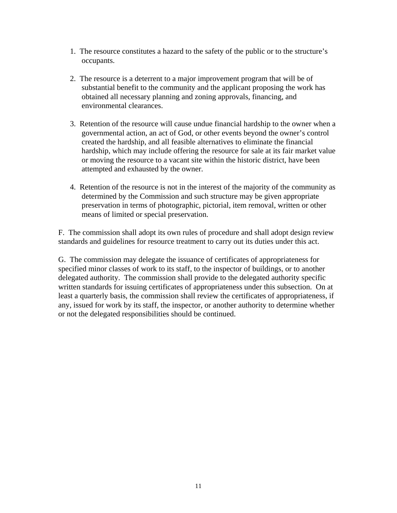- 1. The resource constitutes a hazard to the safety of the public or to the structure's occupants.
- 2. The resource is a deterrent to a major improvement program that will be of substantial benefit to the community and the applicant proposing the work has obtained all necessary planning and zoning approvals, financing, and environmental clearances.
- 3. Retention of the resource will cause undue financial hardship to the owner when a governmental action, an act of God, or other events beyond the owner's control created the hardship, and all feasible alternatives to eliminate the financial hardship, which may include offering the resource for sale at its fair market value or moving the resource to a vacant site within the historic district, have been attempted and exhausted by the owner.
- 4. Retention of the resource is not in the interest of the majority of the community as determined by the Commission and such structure may be given appropriate preservation in terms of photographic, pictorial, item removal, written or other means of limited or special preservation.

F. The commission shall adopt its own rules of procedure and shall adopt design review standards and guidelines for resource treatment to carry out its duties under this act.

G. The commission may delegate the issuance of certificates of appropriateness for specified minor classes of work to its staff, to the inspector of buildings, or to another delegated authority. The commission shall provide to the delegated authority specific written standards for issuing certificates of appropriateness under this subsection. On at least a quarterly basis, the commission shall review the certificates of appropriateness, if any, issued for work by its staff, the inspector, or another authority to determine whether or not the delegated responsibilities should be continued.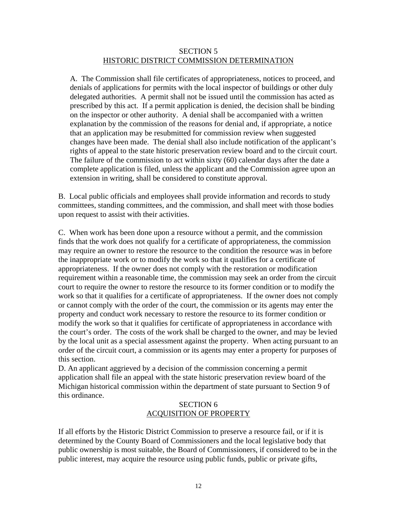#### SECTION 5 HISTORIC DISTRICT COMMISSION DETERMINATION

A. The Commission shall file certificates of appropriateness, notices to proceed, and denials of applications for permits with the local inspector of buildings or other duly delegated authorities. A permit shall not be issued until the commission has acted as prescribed by this act. If a permit application is denied, the decision shall be binding on the inspector or other authority. A denial shall be accompanied with a written explanation by the commission of the reasons for denial and, if appropriate, a notice that an application may be resubmitted for commission review when suggested changes have been made. The denial shall also include notification of the applicant's rights of appeal to the state historic preservation review board and to the circuit court. The failure of the commission to act within sixty (60) calendar days after the date a complete application is filed, unless the applicant and the Commission agree upon an extension in writing, shall be considered to constitute approval.

B. Local public officials and employees shall provide information and records to study committees, standing committees, and the commission, and shall meet with those bodies upon request to assist with their activities.

C. When work has been done upon a resource without a permit, and the commission finds that the work does not qualify for a certificate of appropriateness, the commission may require an owner to restore the resource to the condition the resource was in before the inappropriate work or to modify the work so that it qualifies for a certificate of appropriateness. If the owner does not comply with the restoration or modification requirement within a reasonable time, the commission may seek an order from the circuit court to require the owner to restore the resource to its former condition or to modify the work so that it qualifies for a certificate of appropriateness. If the owner does not comply or cannot comply with the order of the court, the commission or its agents may enter the property and conduct work necessary to restore the resource to its former condition or modify the work so that it qualifies for certificate of appropriateness in accordance with the court's order. The costs of the work shall be charged to the owner, and may be levied by the local unit as a special assessment against the property. When acting pursuant to an order of the circuit court, a commission or its agents may enter a property for purposes of this section.

D. An applicant aggrieved by a decision of the commission concerning a permit application shall file an appeal with the state historic preservation review board of the Michigan historical commission within the department of state pursuant to Section 9 of this ordinance.

## SECTION 6 ACQUISITION OF PROPERTY

If all efforts by the Historic District Commission to preserve a resource fail, or if it is determined by the County Board of Commissioners and the local legislative body that public ownership is most suitable, the Board of Commissioners, if considered to be in the public interest, may acquire the resource using public funds, public or private gifts,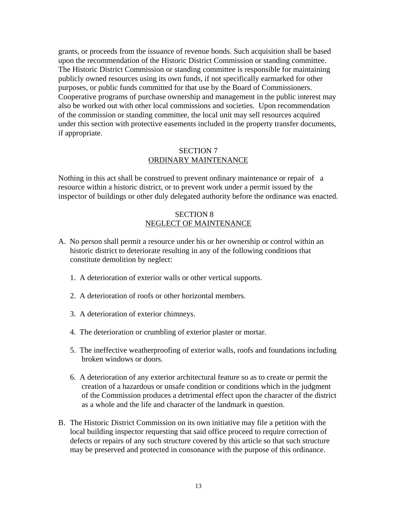grants, or proceeds from the issuance of revenue bonds. Such acquisition shall be based upon the recommendation of the Historic District Commission or standing committee. The Historic District Commission or standing committee is responsible for maintaining publicly owned resources using its own funds, if not specifically earmarked for other purposes, or public funds committed for that use by the Board of Commissioners. Cooperative programs of purchase ownership and management in the public interest may also be worked out with other local commissions and societies. Upon recommendation of the commission or standing committee, the local unit may sell resources acquired under this section with protective easements included in the property transfer documents, if appropriate.

#### SECTION 7 ORDINARY MAINTENANCE

Nothing in this act shall be construed to prevent ordinary maintenance or repair of a resource within a historic district, or to prevent work under a permit issued by the inspector of buildings or other duly delegated authority before the ordinance was enacted.

#### SECTION 8 NEGLECT OF MAINTENANCE

- A. No person shall permit a resource under his or her ownership or control within an historic district to deteriorate resulting in any of the following conditions that constitute demolition by neglect:
	- 1. A deterioration of exterior walls or other vertical supports.
	- 2. A deterioration of roofs or other horizontal members.
	- 3. A deterioration of exterior chimneys.
	- 4. The deterioration or crumbling of exterior plaster or mortar.
	- 5. The ineffective weatherproofing of exterior walls, roofs and foundations including broken windows or doors.
	- 6. A deterioration of any exterior architectural feature so as to create or permit the creation of a hazardous or unsafe condition or conditions which in the judgment of the Commission produces a detrimental effect upon the character of the district as a whole and the life and character of the landmark in question.
- B. The Historic District Commission on its own initiative may file a petition with the local building inspector requesting that said office proceed to require correction of defects or repairs of any such structure covered by this article so that such structure may be preserved and protected in consonance with the purpose of this ordinance.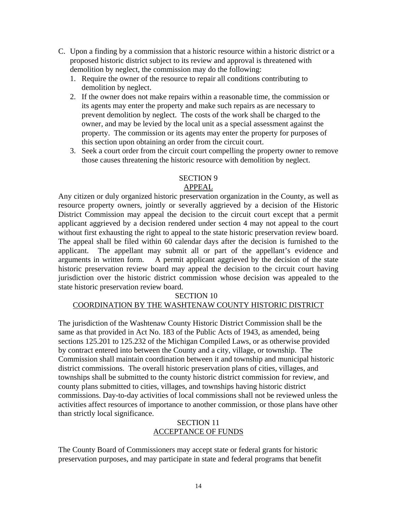- C. Upon a finding by a commission that a historic resource within a historic district or a proposed historic district subject to its review and approval is threatened with demolition by neglect, the commission may do the following:
	- 1. Require the owner of the resource to repair all conditions contributing to demolition by neglect.
	- 2. If the owner does not make repairs within a reasonable time, the commission or its agents may enter the property and make such repairs as are necessary to prevent demolition by neglect. The costs of the work shall be charged to the owner, and may be levied by the local unit as a special assessment against the property. The commission or its agents may enter the property for purposes of this section upon obtaining an order from the circuit court.
	- 3. Seek a court order from the circuit court compelling the property owner to remove those causes threatening the historic resource with demolition by neglect.

#### SECTION 9

## APPEAL

Any citizen or duly organized historic preservation organization in the County, as well as resource property owners, jointly or severally aggrieved by a decision of the Historic District Commission may appeal the decision to the circuit court except that a permit applicant aggrieved by a decision rendered under section 4 may not appeal to the court without first exhausting the right to appeal to the state historic preservation review board. The appeal shall be filed within 60 calendar days after the decision is furnished to the applicant. The appellant may submit all or part of the appellant's evidence and arguments in written form. A permit applicant aggrieved by the decision of the state historic preservation review board may appeal the decision to the circuit court having jurisdiction over the historic district commission whose decision was appealed to the state historic preservation review board.

#### SECTION 10

## COORDINATION BY THE WASHTENAW COUNTY HISTORIC DISTRICT

The jurisdiction of the Washtenaw County Historic District Commission shall be the same as that provided in Act No. 183 of the Public Acts of 1943, as amended, being sections 125.201 to 125.232 of the Michigan Compiled Laws, or as otherwise provided by contract entered into between the County and a city, village, or township. The Commission shall maintain coordination between it and township and municipal historic district commissions. The overall historic preservation plans of cities, villages, and townships shall be submitted to the county historic district commission for review, and county plans submitted to cities, villages, and townships having historic district commissions. Day-to-day activities of local commissions shall not be reviewed unless the activities affect resources of importance to another commission, or those plans have other than strictly local significance.

#### SECTION 11 ACCEPTANCE OF FUNDS

The County Board of Commissioners may accept state or federal grants for historic preservation purposes, and may participate in state and federal programs that benefit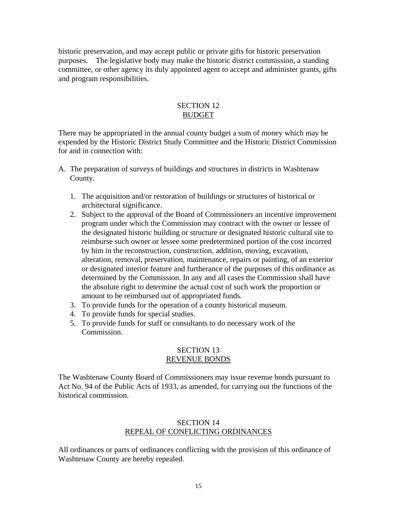historic preservation, and may accept public or private gifts for historic preservation purposes. The legislative body may make the historic district commission, a standing committee, or other agency its duly appointed agent to accept and administer grants, gifts and program responsibilities.

#### SECTION 12 BUDGET

There may be appropriated in the annual county budget a sum of money which may be expended by the Historic District Study Committee and the Historic District Commission for and in connection with:

- A. The preparation of surveys of buildings and structures in districts in Washtenaw County.
	- 1. The acquisition and/or restoration of buildings or structures of historical or architectural significance.
	- 2. Subject to the approval of the Board of Commissioners an incentive improvement program under which the Commission may contract with the owner or lessee of the designated historic building or structure or designated historic cultural site to reimburse such owner or lessee some predetermined portion of the cost incurred by him in the reconstruction, construction, addition, moving, excavation, alteration, removal, preservation, maintenance, repairs or painting, of an exterior or designated interior feature and furtherance of the purposes of this ordinance as determined by the Commission. In any and all cases the Commission shall have the absolute right to determine the actual cost of such work the proportion or amount to be reimbursed out of appropriated funds.
	- 3. To provide funds for the operation of a county historical museum.
	- 4. To provide funds for special studies.
	- 5. To provide funds for staff or consultants to do necessary work of the Commission.

#### SECTION 13 REVENUE BONDS

The Washtenaw County Board of Commissioners may issue revenue bonds pursuant to Act No. 94 of the Public Acts of 1933, as amended, for carrying out the functions of the historical commission.

#### SECTION 14 REPEAL OF CONFLICTING ORDINANCES

All ordinances or parts of ordinances conflicting with the provision of this ordinance of Washtenaw County are hereby repealed.